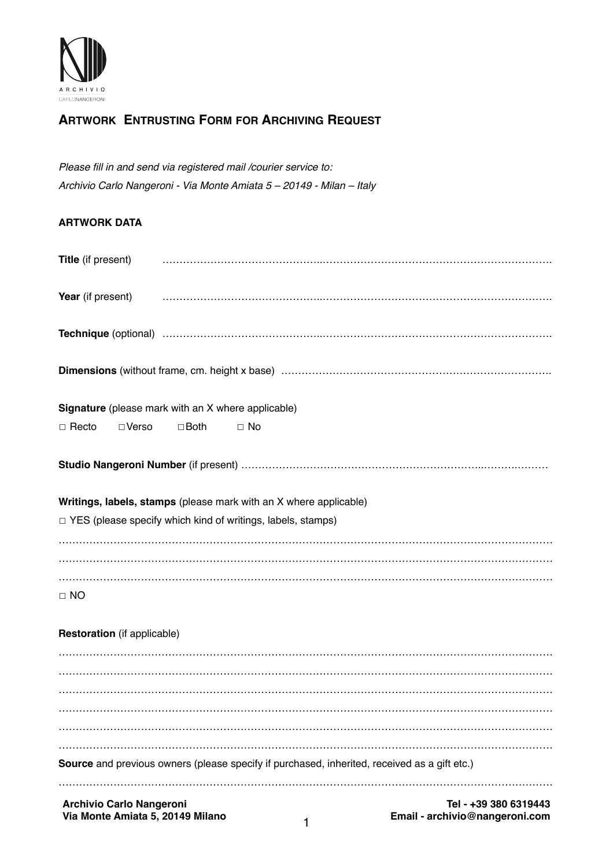

# **ARTWORK ENTRUSTING FORM FOR ARCHIVING REQUEST**

*Please fill in and send via registered mail /courier service to: Archivio Carlo Nangeroni - Via Monte Amiata 5 – 20149 - Milan – Italy*

# **ARTWORK DATA**

| <b>Title</b> (if present)                                                                                                               |             |           |  |                                                         |
|-----------------------------------------------------------------------------------------------------------------------------------------|-------------|-----------|--|---------------------------------------------------------|
| Year (if present)                                                                                                                       |             |           |  |                                                         |
|                                                                                                                                         |             |           |  |                                                         |
|                                                                                                                                         |             |           |  |                                                         |
| Signature (please mark with an X where applicable)                                                                                      |             |           |  |                                                         |
| □Verso<br>$\Box$ Recto                                                                                                                  | $\Box$ Both | $\Box$ No |  |                                                         |
|                                                                                                                                         |             |           |  |                                                         |
| Writings, labels, stamps (please mark with an X where applicable)<br>$\Box$ YES (please specify which kind of writings, labels, stamps) |             |           |  |                                                         |
|                                                                                                                                         |             |           |  |                                                         |
|                                                                                                                                         |             |           |  |                                                         |
| $\Box$ NO                                                                                                                               |             |           |  |                                                         |
| <b>Restoration</b> (if applicable)                                                                                                      |             |           |  |                                                         |
|                                                                                                                                         |             |           |  |                                                         |
|                                                                                                                                         |             |           |  |                                                         |
|                                                                                                                                         |             |           |  |                                                         |
|                                                                                                                                         |             |           |  |                                                         |
| Source and previous owners (please specify if purchased, inherited, received as a gift etc.)                                            |             |           |  |                                                         |
|                                                                                                                                         |             |           |  |                                                         |
| <b>Archivio Carlo Nangeroni</b><br>Via Monte Amiata 5, 20149 Milano                                                                     |             |           |  | Tel - +39 380 6319443<br>Email - archivio@nangeroni.com |

1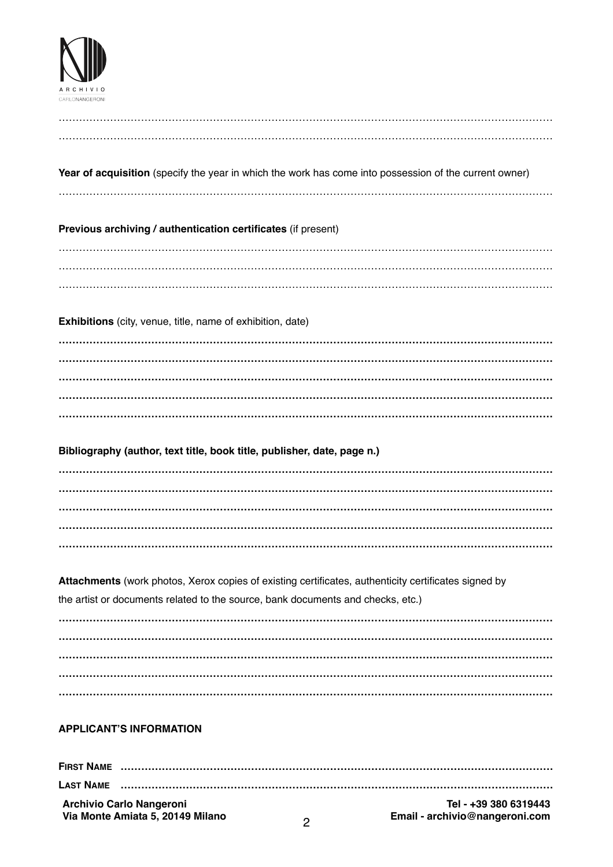| A R C H I V I O |  |  |  |
|-----------------|--|--|--|
| CARLONANGERONI  |  |  |  |

| Year of acquisition (specify the year in which the work has come into possession of the current owner)                                                                                  |
|-----------------------------------------------------------------------------------------------------------------------------------------------------------------------------------------|
| Previous archiving / authentication certificates (if present)                                                                                                                           |
|                                                                                                                                                                                         |
|                                                                                                                                                                                         |
| Exhibitions (city, venue, title, name of exhibition, date)                                                                                                                              |
|                                                                                                                                                                                         |
|                                                                                                                                                                                         |
|                                                                                                                                                                                         |
| Bibliography (author, text title, book title, publisher, date, page n.)                                                                                                                 |
|                                                                                                                                                                                         |
|                                                                                                                                                                                         |
|                                                                                                                                                                                         |
| Attachments (work photos, Xerox copies of existing certificates, authenticity certificates signed by<br>the artist or documents related to the source, bank documents and checks, etc.) |
|                                                                                                                                                                                         |
|                                                                                                                                                                                         |
|                                                                                                                                                                                         |
|                                                                                                                                                                                         |

# **APPLICANT'S INFORMATION**

| <b>Archivio Carlo Nangeroni</b><br>Via Monte Amiata 5, 20149 Milano | Tel - +39 380 6319443<br>Email - archivio@nangeroni.com |
|---------------------------------------------------------------------|---------------------------------------------------------|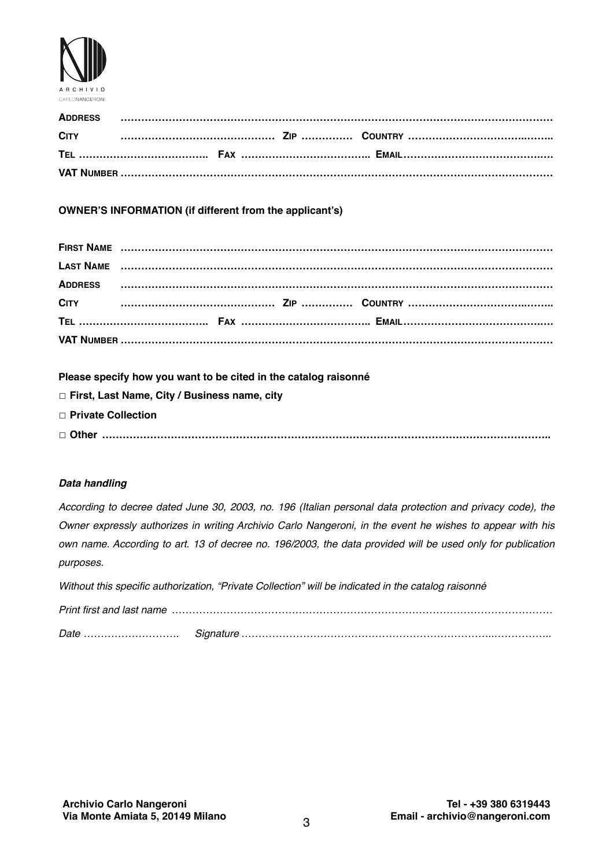

### **OWNER'S INFORMATION (if different from the applicant's)**

**Please specify how you want to be cited in the catalog raisonné** 

- ☐ **First, Last Name, City / Business name, city**
- ☐ **Private Collection**

| □ Utiler |  |
|----------|--|
|----------|--|

### *Data handling*

*According to decree dated June 30, 2003, no. 196 (Italian personal data protection and privacy code), the Owner expressly authorizes in writing Archivio Carlo Nangeroni, in the event he wishes to appear with his own name. According to art. 13 of decree no. 196/2003, the data provided will be used only for publication purposes.*

| Without this specific authorization, "Private Collection" will be indicated in the catalog raisonné |  |  |  |
|-----------------------------------------------------------------------------------------------------|--|--|--|
|                                                                                                     |  |  |  |
|                                                                                                     |  |  |  |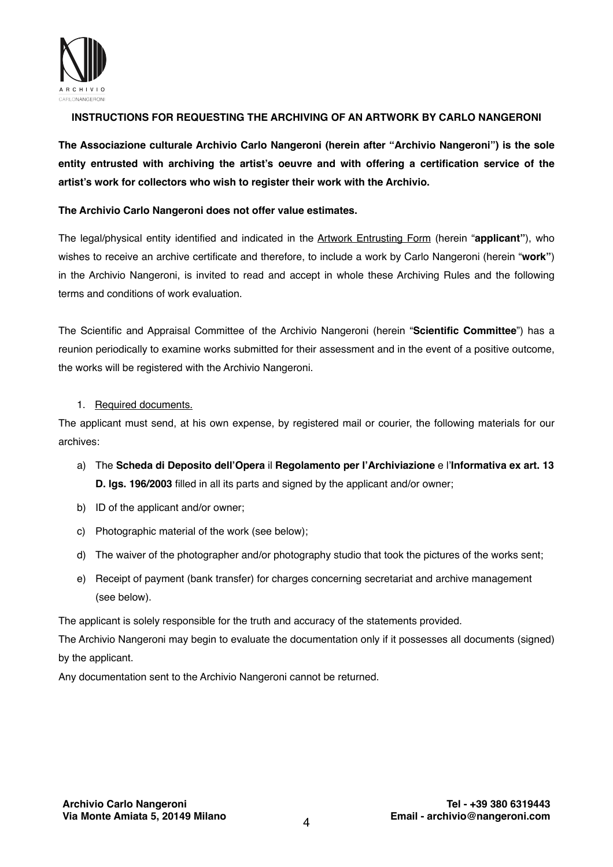

# **INSTRUCTIONS FOR REQUESTING THE ARCHIVING OF AN ARTWORK BY CARLO NANGERONI**

**The Associazione culturale Archivio Carlo Nangeroni (herein after "Archivio Nangeroni") is the sole entity entrusted with archiving the artist's oeuvre and with offering a certification service of the artist's work for collectors who wish to register their work with the Archivio.**

# **The Archivio Carlo Nangeroni does not offer value estimates.**

The legal/physical entity identified and indicated in the Artwork Entrusting Form (herein "**applicant"**), who wishes to receive an archive certificate and therefore, to include a work by Carlo Nangeroni (herein "**work"**) in the Archivio Nangeroni, is invited to read and accept in whole these Archiving Rules and the following terms and conditions of work evaluation.

The Scientific and Appraisal Committee of the Archivio Nangeroni (herein "**Scientific Committee**") has a reunion periodically to examine works submitted for their assessment and in the event of a positive outcome, the works will be registered with the Archivio Nangeroni.

# 1. Required documents.

The applicant must send, at his own expense, by registered mail or courier, the following materials for our archives:

- a) The **Scheda di Deposito dell'Opera** il **Regolamento per l'Archiviazione** e l'**Informativa ex art. 13 D. lgs. 196/2003** filled in all its parts and signed by the applicant and/or owner;
- b) ID of the applicant and/or owner;
- c) Photographic material of the work (see below);
- d) The waiver of the photographer and/or photography studio that took the pictures of the works sent;
- e) Receipt of payment (bank transfer) for charges concerning secretariat and archive management (see below).

The applicant is solely responsible for the truth and accuracy of the statements provided.

The Archivio Nangeroni may begin to evaluate the documentation only if it possesses all documents (signed) by the applicant.

Any documentation sent to the Archivio Nangeroni cannot be returned.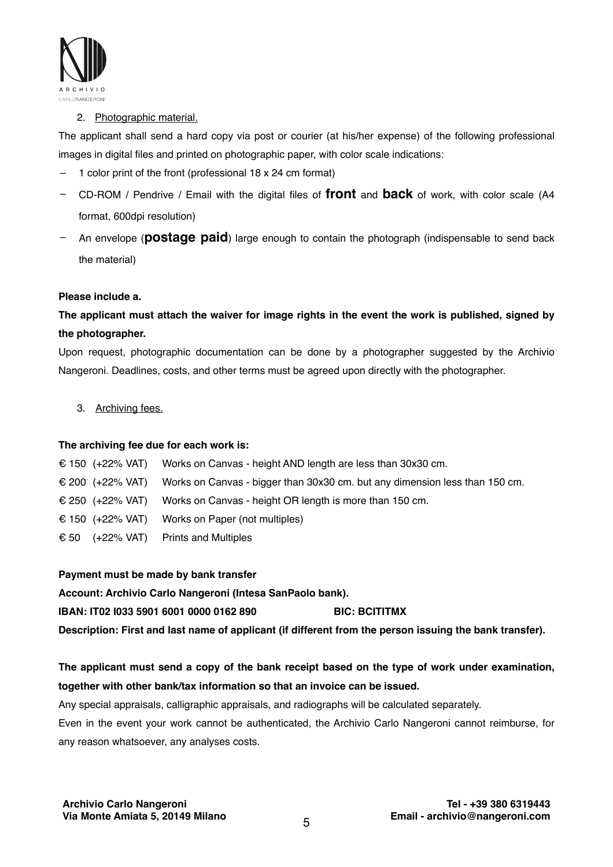

# 2. Photographic material.

The applicant shall send a hard copy via post or courier (at his/her expense) of the following professional images in digital files and printed on photographic paper, with color scale indications:

- 1 color print of the front (professional 18 x 24 cm format)
- CD-ROM / Pendrive / Email with the digital files of **front** and **back** of work, with color scale (A4 format, 600dpi resolution)
- An envelope (**postage paid**) large enough to contain the photograph (indispensable to send back the material)

# **Please include a.**

# **The applicant must attach the waiver for image rights in the event the work is published, signed by the photographer.**

Upon request, photographic documentation can be done by a photographer suggested by the Archivio Nangeroni. Deadlines, costs, and other terms must be agreed upon directly with the photographer.

# 3. Archiving fees.

# **The archiving fee due for each work is:**

€ 150 (+22% VAT) Works on Canvas - height AND length are less than 30x30 cm. € 200 (+22% VAT) Works on Canvas - bigger than 30x30 cm. but any dimension less than 150 cm. € 250 (+22% VAT) Works on Canvas - height OR length is more than 150 cm. € 150 (+22% VAT) Works on Paper (not multiples) € 50 (+22% VAT) Prints and Multiples

# **Payment must be made by bank transfer**

**Account: Archivio Carlo Nangeroni (Intesa SanPaolo bank).**

# **IBAN: IT02 I033 5901 6001 0000 0162 890 BIC: BCITITMX**

**Description: First and last name of applicant (if different from the person issuing the bank transfer).**

# **The applicant must send a copy of the bank receipt based on the type of work under examination, together with other bank/tax information so that an invoice can be issued.**

Any special appraisals, calligraphic appraisals, and radiographs will be calculated separately.

Even in the event your work cannot be authenticated, the Archivio Carlo Nangeroni cannot reimburse, for any reason whatsoever, any analyses costs.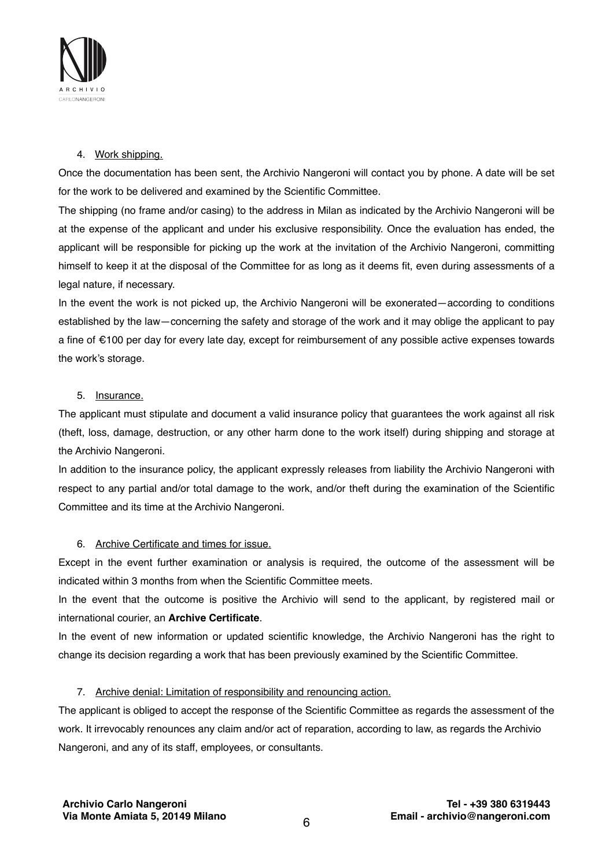

### 4. Work shipping.

Once the documentation has been sent, the Archivio Nangeroni will contact you by phone. A date will be set for the work to be delivered and examined by the Scientific Committee.

The shipping (no frame and/or casing) to the address in Milan as indicated by the Archivio Nangeroni will be at the expense of the applicant and under his exclusive responsibility. Once the evaluation has ended, the applicant will be responsible for picking up the work at the invitation of the Archivio Nangeroni, committing himself to keep it at the disposal of the Committee for as long as it deems fit, even during assessments of a legal nature, if necessary.

In the event the work is not picked up, the Archivio Nangeroni will be exonerated—according to conditions established by the law—concerning the safety and storage of the work and it may oblige the applicant to pay a fine of €100 per day for every late day, except for reimbursement of any possible active expenses towards the work's storage.

### 5. Insurance.

The applicant must stipulate and document a valid insurance policy that guarantees the work against all risk (theft, loss, damage, destruction, or any other harm done to the work itself) during shipping and storage at the Archivio Nangeroni.

In addition to the insurance policy, the applicant expressly releases from liability the Archivio Nangeroni with respect to any partial and/or total damage to the work, and/or theft during the examination of the Scientific Committee and its time at the Archivio Nangeroni.

### 6. Archive Certificate and times for issue.

Except in the event further examination or analysis is required, the outcome of the assessment will be indicated within 3 months from when the Scientific Committee meets.

In the event that the outcome is positive the Archivio will send to the applicant, by registered mail or international courier, an **Archive Certificate**.

In the event of new information or updated scientific knowledge, the Archivio Nangeroni has the right to change its decision regarding a work that has been previously examined by the Scientific Committee.

### 7. Archive denial: Limitation of responsibility and renouncing action.

The applicant is obliged to accept the response of the Scientific Committee as regards the assessment of the work. It irrevocably renounces any claim and/or act of reparation, according to law, as regards the Archivio Nangeroni, and any of its staff, employees, or consultants.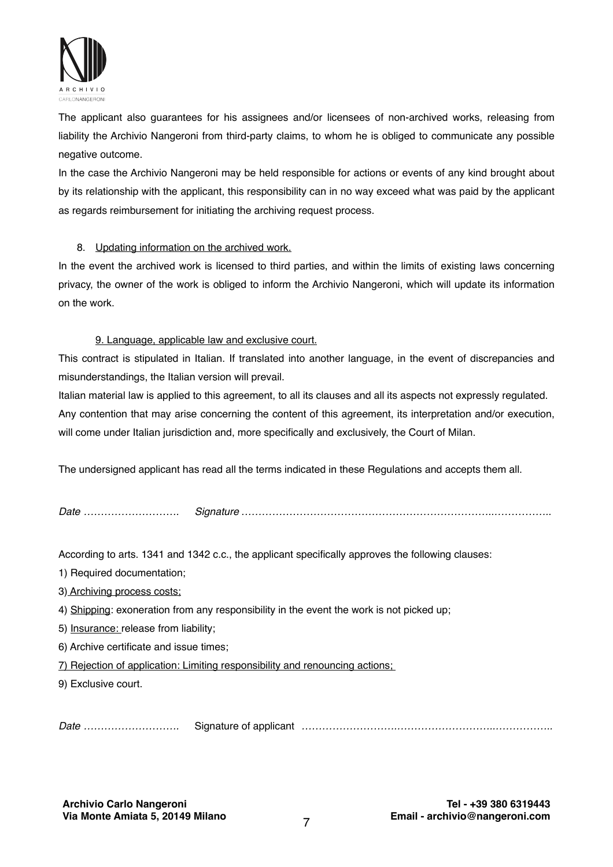

The applicant also guarantees for his assignees and/or licensees of non-archived works, releasing from liability the Archivio Nangeroni from third-party claims, to whom he is obliged to communicate any possible negative outcome.

In the case the Archivio Nangeroni may be held responsible for actions or events of any kind brought about by its relationship with the applicant, this responsibility can in no way exceed what was paid by the applicant as regards reimbursement for initiating the archiving request process.

### 8. Updating information on the archived work.

In the event the archived work is licensed to third parties, and within the limits of existing laws concerning privacy, the owner of the work is obliged to inform the Archivio Nangeroni, which will update its information on the work.

### 9. Language, applicable law and exclusive court.

This contract is stipulated in Italian. If translated into another language, in the event of discrepancies and misunderstandings, the Italian version will prevail.

Italian material law is applied to this agreement, to all its clauses and all its aspects not expressly regulated. Any contention that may arise concerning the content of this agreement, its interpretation and/or execution, will come under Italian jurisdiction and, more specifically and exclusively, the Court of Milan.

The undersigned applicant has read all the terms indicated in these Regulations and accepts them all.

*Date ………………………. Signature ………………………………………………………………..……………..*

According to arts. 1341 and 1342 c.c., the applicant specifically approves the following clauses:

1) Required documentation;

3) Archiving process costs;

- 4) Shipping: exoneration from any responsibility in the event the work is not picked up;
- 5) Insurance: release from liability;
- 6) Archive certificate and issue times;

7) Rejection of application: Limiting responsibility and renouncing actions;

9) Exclusive court.

*Date ……………………….* Signature of applicant *……………………….………………………..……………..*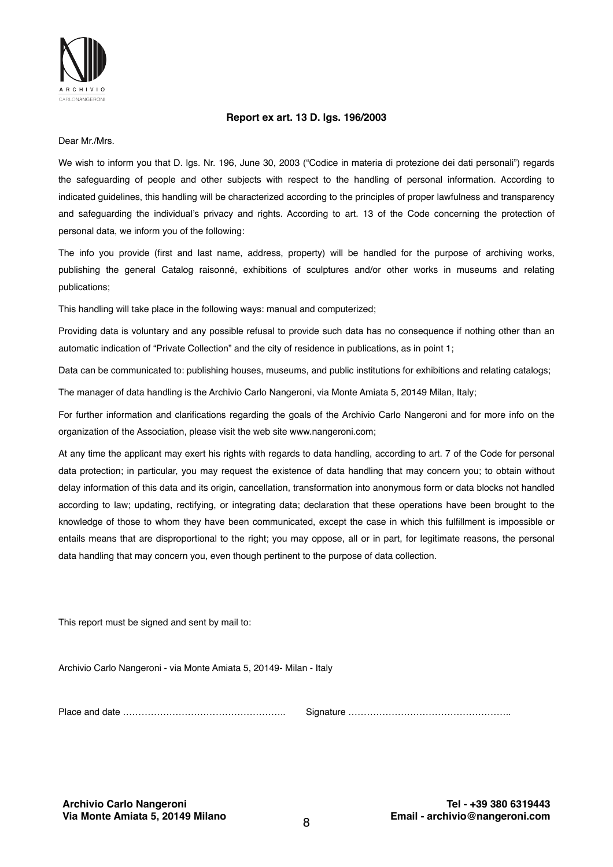

#### **Report ex art. 13 D. lgs. 196/2003**

#### Dear Mr./Mrs.

We wish to inform you that D. lgs. Nr. 196, June 30, 2003 ("Codice in materia di protezione dei dati personali") regards the safeguarding of people and other subjects with respect to the handling of personal information. According to indicated guidelines, this handling will be characterized according to the principles of proper lawfulness and transparency and safeguarding the individual's privacy and rights. According to art. 13 of the Code concerning the protection of personal data, we inform you of the following:

The info you provide (first and last name, address, property) will be handled for the purpose of archiving works, publishing the general Catalog raisonné, exhibitions of sculptures and/or other works in museums and relating publications;

This handling will take place in the following ways: manual and computerized;

Providing data is voluntary and any possible refusal to provide such data has no consequence if nothing other than an automatic indication of "Private Collection" and the city of residence in publications, as in point 1;

Data can be communicated to: publishing houses, museums, and public institutions for exhibitions and relating catalogs;

The manager of data handling is the Archivio Carlo Nangeroni, via Monte Amiata 5, 20149 Milan, Italy;

For further information and clarifications regarding the goals of the Archivio Carlo Nangeroni and for more info on the organization of the Association, please visit the web site www.nangeroni.com;

At any time the applicant may exert his rights with regards to data handling, according to art. 7 of the Code for personal data protection; in particular, you may request the existence of data handling that may concern you; to obtain without delay information of this data and its origin, cancellation, transformation into anonymous form or data blocks not handled according to law; updating, rectifying, or integrating data; declaration that these operations have been brought to the knowledge of those to whom they have been communicated, except the case in which this fulfillment is impossible or entails means that are disproportional to the right; you may oppose, all or in part, for legitimate reasons, the personal data handling that may concern you, even though pertinent to the purpose of data collection.

This report must be signed and sent by mail to:

Archivio Carlo Nangeroni - via Monte Amiata 5, 20149- Milan - Italy

Place and date …………………………………………….. Signature ……………………………………………..

**Archivio Carlo Nangeroni Via Monte Amiata 5, 20149 Milano**